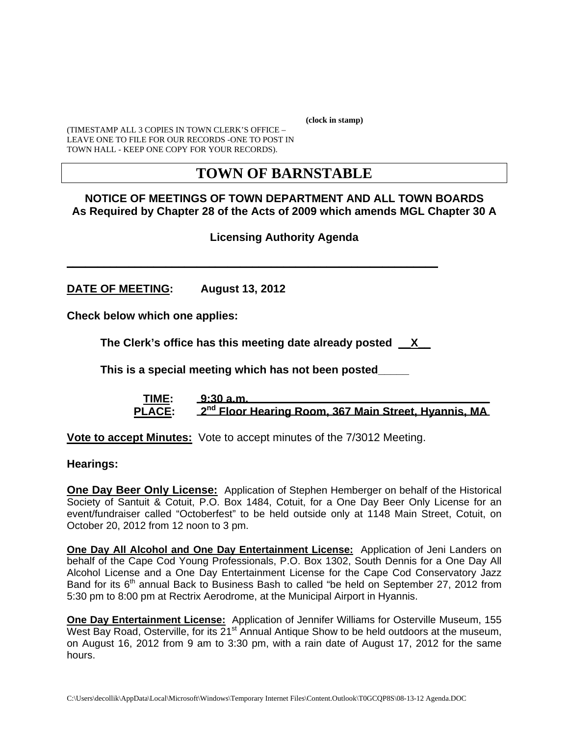**(clock in stamp)** 

(TIMESTAMP ALL 3 COPIES IN TOWN CLERK'S OFFICE – LEAVE ONE TO FILE FOR OUR RECORDS -ONE TO POST IN TOWN HALL - KEEP ONE COPY FOR YOUR RECORDS).

# **TOWN OF BARNSTABLE**

## **NOTICE OF MEETINGS OF TOWN DEPARTMENT AND ALL TOWN BOARDS As Required by Chapter 28 of the Acts of 2009 which amends MGL Chapter 30 A**

# **Licensing Authority Agenda**

**DATE OF MEETING: August 13, 2012** 

**Check below which one applies:** 

**The Clerk's office has this meeting date already posted \_\_X\_\_** 

 **This is a special meeting which has not been posted\_\_\_\_\_** 

**\_\_\_\_\_\_\_\_\_\_\_\_\_\_\_\_\_\_\_\_\_\_\_\_\_\_\_\_\_\_\_\_\_\_\_\_\_\_\_\_\_\_\_\_\_\_\_\_\_\_\_\_\_\_\_\_\_\_\_\_** 

 **TIME: 9:30 a.m. PLACE: 2nd Floor Hearing Room, 367 Main Street, Hyannis, MA**

**Vote to accept Minutes:** Vote to accept minutes of the 7/3012 Meeting.

**Hearings:** 

**One Day Beer Only License:** Application of Stephen Hemberger on behalf of the Historical Society of Santuit & Cotuit, P.O. Box 1484, Cotuit, for a One Day Beer Only License for an event/fundraiser called "Octoberfest" to be held outside only at 1148 Main Street, Cotuit, on October 20, 2012 from 12 noon to 3 pm.

**One Day All Alcohol and One Day Entertainment License:** Application of Jeni Landers on behalf of the Cape Cod Young Professionals, P.O. Box 1302, South Dennis for a One Day All Alcohol License and a One Day Entertainment License for the Cape Cod Conservatory Jazz Band for its  $6<sup>th</sup>$  annual Back to Business Bash to called "be held on September 27, 2012 from 5:30 pm to 8:00 pm at Rectrix Aerodrome, at the Municipal Airport in Hyannis.

**One Day Entertainment License:** Application of Jennifer Williams for Osterville Museum, 155 West Bay Road, Osterville, for its  $21^{st}$  Annual Antique Show to be held outdoors at the museum, on August 16, 2012 from 9 am to 3:30 pm, with a rain date of August 17, 2012 for the same hours.